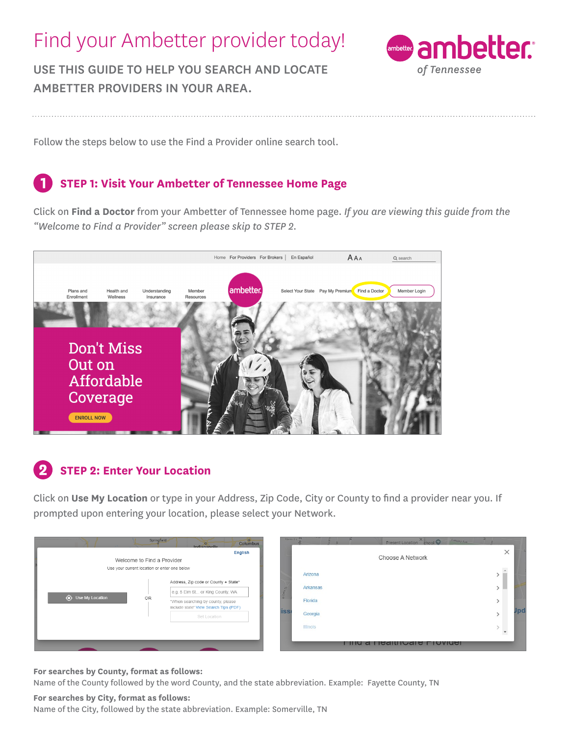# Find your Ambetter provider today!

USE THIS GUIDE TO HELP YOU SEARCH AND LOCATE AMBETTER PROVIDERS IN YOUR AREA.



Follow the steps below to use the Find a Provider online search tool.

### **STEP 1: Visit Your Ambetter of Tennessee Home Page**

Click on **Find a Doctor** from your Ambetter of Tennessee home page. *If you are viewing this guide from the "Welcome to Find a Provider" screen please skip to STEP 2.*



### **STEP 2: Enter Your Location**

Click on **Use My Location** or type in your Address, Zip Code, City or County to find a provider near you. If prompted upon entering your location, please select your Network.

|                                              | Springfield | Columbus<br>Indiananolie                                                   | Mamor Ln <sup>3</sup> | E.              | Present Location chool               | Langley Ave |          |  |
|----------------------------------------------|-------------|----------------------------------------------------------------------------|-----------------------|-----------------|--------------------------------------|-------------|----------|--|
| English<br>Welcome to Find a Provider        |             |                                                                            |                       |                 | Choose A Network                     |             | $\times$ |  |
| Use your current location or enter one below |             |                                                                            |                       | Arizona         |                                      |             |          |  |
| Se My Location                               |             | Address, Zip code or County + State*                                       |                       | Arkansas        |                                      |             |          |  |
|                                              | OR          | e.g. 5 Elm St or King County, WA                                           |                       |                 |                                      |             |          |  |
|                                              |             | *When searching by county, please<br>include state' View Search Tips (PDF) | <b>ISS</b>            | Florida         |                                      |             |          |  |
|                                              |             | Set Location                                                               |                       | Georgia         |                                      |             |          |  |
|                                              |             |                                                                            |                       | <b>Illinois</b> |                                      |             |          |  |
|                                              |             |                                                                            |                       |                 | <u>Filiu a Fiedilliudie Fiuviuei</u> |             |          |  |

#### **For searches by County, format as follows:**

Name of the County followed by the word County, and the state abbreviation. Example: Fayette County, TN

#### **For searches by City, format as follows:**

Name of the City, followed by the state abbreviation. Example: Somerville, TN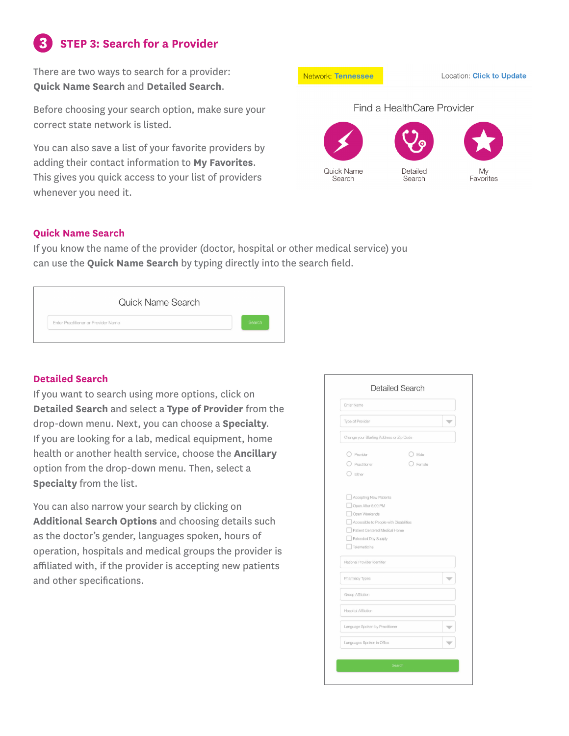## **STEP 3: Search for a Provider**

There are two ways to search for a provider: **Quick Name Search** and **Detailed Search**.

Before choosing your search option, make sure your correct state network is listed.

You can also save a list of your favorite providers by adding their contact information to **My Favorites**. This gives you quick access to your list of providers whenever you need it.

**Network: Tennessee** Location: Click to Update Find a HealthCare Provider Quick Name Detailed

Search

Search

Favorites

#### **Quick Name Search**

If you know the name of the provider (doctor, hospital or other medical service) you can use the **Quick Name Search** by typing directly into the search field.

|                                     | Quick Name Search |        |
|-------------------------------------|-------------------|--------|
| Enter Practitioner or Provider Name |                   | Search |

### **Detailed Search**

If you want to search using more options, click on **Detailed Search** and select a **Type of Provider** from the drop-down menu. Next, you can choose a **Specialty**. If you are looking for a lab, medical equipment, home health or another health service, choose the **Ancillary**  option from the drop-down menu. Then, select a **Specialty** from the list.

You can also narrow your search by clicking on **Additional Search Options** and choosing details such as the doctor's gender, languages spoken, hours of operation, hospitals and medical groups the provider is affiliated with, if the provider is accepting new patients and other specifications.

| Enter Name                                                              |        |                          |
|-------------------------------------------------------------------------|--------|--------------------------|
| Type of Provider                                                        |        | $\overline{\phantom{a}}$ |
| Change your Starting Address or Zip Code                                |        |                          |
| Provider                                                                | Male   |                          |
| Practitioner                                                            | Female |                          |
| Either                                                                  |        |                          |
|                                                                         |        |                          |
| Accepting New Patients                                                  |        |                          |
| Open After 5:00 PM                                                      |        |                          |
| Open Weekends                                                           |        |                          |
| Accessible to People with Disabilities<br>Patient Centered Medical Home |        |                          |
| Extended Day Supply                                                     |        |                          |
| Telemedicine                                                            |        |                          |
| National Provider Identifier                                            |        |                          |
| Pharmacy Types                                                          |        | ₩                        |
| Group Affiliation                                                       |        |                          |
| <b>Hospital Affiliation</b>                                             |        |                          |
| Language Spoken by Practitioner                                         |        | $\overline{\phantom{a}}$ |
| Languages Spoken in Office                                              |        | v                        |
|                                                                         |        |                          |